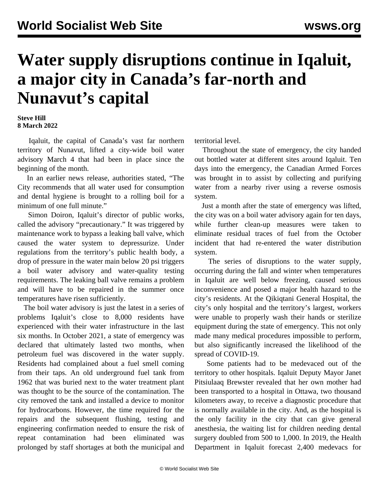## **Water supply disruptions continue in Iqaluit, a major city in Canada's far-north and Nunavut's capital**

## **Steve Hill 8 March 2022**

 Iqaluit, the capital of Canada's vast far northern territory of Nunavut, lifted a city-wide boil water advisory March 4 that had been in place since the beginning of the month.

 In an earlier news release, authorities stated, "The City recommends that all water used for consumption and dental hygiene is brought to a rolling boil for a minimum of one full minute."

 Simon Doiron, Iqaluit's director of public works, called the advisory "precautionary." It was triggered by maintenance work to bypass a leaking ball valve, which caused the water system to depressurize. Under regulations from the territory's public health body, a drop of pressure in the water main below 20 psi triggers a boil water advisory and water-quality testing requirements. The leaking ball valve remains a problem and will have to be repaired in the summer once temperatures have risen sufficiently.

 The boil water advisory is just the latest in a series of problems Iqaluit's close to 8,000 residents have experienced with their water infrastructure in the last six months. In October 2021, a state of emergency was declared that ultimately lasted two months, when petroleum fuel was discovered in the water supply. Residents had complained about a fuel smell coming from their taps. An old underground fuel tank from 1962 that was buried next to the water treatment plant was thought to be the source of the contamination. The city removed the tank and installed a device to monitor for hydrocarbons. However, the time required for the repairs and the subsequent flushing, testing and engineering confirmation needed to ensure the risk of repeat contamination had been eliminated was prolonged by staff shortages at both the municipal and

territorial level.

 Throughout the state of emergency, the city handed out bottled water at different sites around Iqaluit. Ten days into the emergency, the Canadian Armed Forces was brought in to assist by collecting and purifying water from a nearby river using a reverse osmosis system.

 Just a month after the state of emergency was lifted, the city was on a boil water advisory again for ten days, while further clean-up measures were taken to eliminate residual traces of fuel from the October incident that had re-entered the water distribution system.

 The series of disruptions to the water supply, occurring during the fall and winter when temperatures in Iqaluit are well below freezing, caused serious inconvenience and posed a major health hazard to the city's residents. At the Qikiqtani General Hospital, the city's only hospital and the territory's largest, workers were unable to properly wash their hands or sterilize equipment during the state of emergency. This not only made many medical procedures impossible to perform, but also significantly increased the likelihood of the spread of COVID-19.

 Some patients had to be medevaced out of the territory to other hospitals. Iqaluit Deputy Mayor Janet Pitsiulaaq Brewster revealed that her own mother had been transported to a hospital in Ottawa, two thousand kilometers away, to receive a diagnostic procedure that is normally available in the city. And, as the hospital is the only facility in the city that can give general anesthesia, the waiting list for children needing dental surgery doubled from 500 to 1,000. In 2019, the Health Department in Iqaluit forecast 2,400 medevacs for